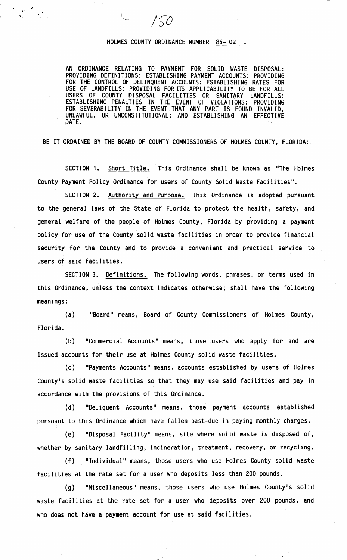## HOLMES COUNTY ORDINANCE NUMBER 86- 02 •

750

AN ORDINANCE RELATING TO PAYMENT FOR SOLID WASTE DISPOSAL: PROVIDING DEFINITIONS: ESTABLISHING PAYMENT ACCOUNTS: PROVIDING FOR THE CONTROL OF DELINQUENT ACCOUNTS: ESTABLISHING RATES FOR USE OF LANDFILLS: PROVIDING FOR ITS APPLICABILITY TO BE FOR ALL USERS OF COUNTY DISPOSAL FACILITIES OR SANITARY LANDFILLS: COUNTY DISPOSAL FACILITIES OR SANITARY LANDFILLS: ESTABLISHING PENALTIES IN THE EVENT OF VIOLATIONS: PROVIDING FOR SEVERABILITY IN THE EVENT THAT ANY PART IS FOUND INVALID, UNLAWFUL, OR UNCONSTITUTIONAL: AND ESTABLISHING AN EFFECTIVE DATE.

BE IT ORDAINED BY THE BOARD OF COUNTY COMMISSIONERS OF HOLMES COUNTY, FLORIDA:

SECTION 1. Short Title. This Ordinance shall be known as "The Holmes County Payment Policy Ordinance for users of County Solid Waste Facilities".

SECTION 2. Authority and Purpose. This Ordinance is adopted pursuant to the general laws of the State of Florida to protect the health, safety, and general welfare of the people of Holmes County, Florida by providing a payment policy for use of the County solid waste facilities in order to provide financial security for the County and to provide a convenient and practical service to users of said facilities.

SECTION 3. Definitions. The following words, phrases, or terms used in this Ordinance, unless the context indicates otherwise; shall have the following meanings:

(a) "Board" means, Board of County Commissioners of Holmes County, Florida.

(b) "Commercial Accounts" means, those users who apply for and are issued accounts for their use at Holmes County solid waste facilities.

(c) "Payments Accounts" means, accounts established by users of Holmes County's solid waste facilities so that they may use said facilities and pay in accordance with the provisions of this Ordinance.

(d) "Deliquent Accounts" means, those payment accounts established pursuant to this Ordinance which have fallen past-due in paying monthly charges.

(e) "Disposal Facility" means, site where solid waste is disposed of, whether by sanitary landfilling, incineration, treatment, recovery, or recycling.

(f) "Individual" means, those users who use Holmes County solid waste facilities at the rate set for a user who deposits less than 200 pounds.

(g) "Miscellaneous" means, those users who use Holmes County's solid waste facilities at the rate set for a user who deposits over 200 pounds, and who does not have a payment account for use at said facilities.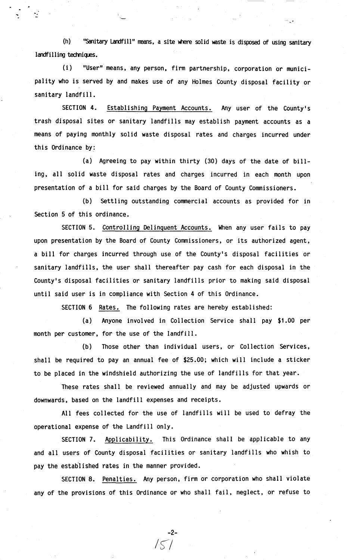(h) "Sanitary Landfill" means, a site where solid waste is disposed of using sanitary  $land filling techniques.$ 

ون ڪ

(i) "User" means, any person, firm partnership, corporation or municipality who is served by and makes use of any Holmes County disposal facility or sanitary landfill.

SECTION 4. Establishing Payment Accounts. Any user of the County's trash disposal sites or sanitary landfills may establish payment accounts as a means of paying monthly solid waste disposal rates and charges incurred under this Ordinance by:

(a) Agreeing to pay within thirty (30) days of the date of billing, all solid waste disposal rates and charges incurred in each month upon presentation of a bill for said charges by the Board of County Commissioners.

(b) Settling outstanding commercial accounts as provided for in Section 5 of this ordinance.

SECTION 5. Controlling Delinquent Accounts. When any user fails to pay upon presentation by the Board of County Commissioners, or its authorized agent, a bill for charges incurred through use of the County's disposal facilities or sanitary landfills, the user shall thereafter pay cash for each disposal in the County's disposal facilities or sanitary landfills prior to making said disposal until said user is in compliance with Section 4 of this Ordinance.

**SECTION 6** Rates. The following rates are hereby established:

(a) Anyone involved in Collection Service **shall** pay **\$1.00** per month per customer, for the use of the landfill.

(b) Those other than individual users, or Collection Services, shall be required to pay an annual fee of \$25.00; which will include a sticker to be placed in the windshield authorizing the use of landfills for that year.

These rates shall be reviewed annually and may be adjusted upwards or downwards, based on the landfill expenses and receipts.

All fees collected for the use of landfills will be used to defray the operational expense of the Landfill only.

SECTION 7. Applicability. This Ordinance shall be applicable to any and all users of County disposal facilities or sanitary landfills who whish to pay the established rates in the manner provided.

SECTION 8. Penalties. Any person, firm or corporation who shall violate any of the provisions of this Ordinance or who shall fail, neglect, or refuse to

 $/5/$